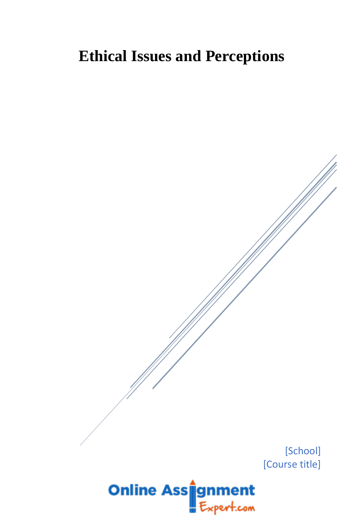## **Ethical Issues and Perceptions**

[School] [Course title]

# **Online Ass**ignment pert.com>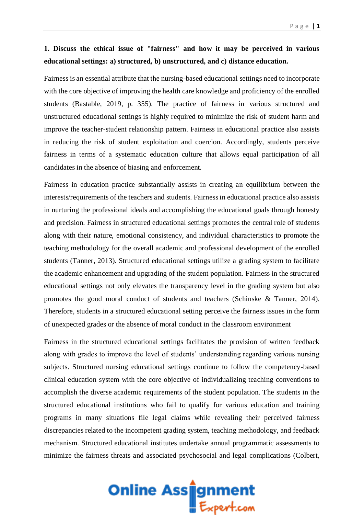#### **1. Discuss the ethical issue of "fairness" and how it may be perceived in various educational settings: a) structured, b) unstructured, and c) distance education.**

Fairness is an essential attribute that the nursing-based educational settings need to incorporate with the core objective of improving the health care knowledge and proficiency of the enrolled students (Bastable, 2019, p. 355). The practice of fairness in various structured and unstructured educational settings is highly required to minimize the risk of student harm and improve the teacher-student relationship pattern. Fairness in educational practice also assists in reducing the risk of student exploitation and coercion. Accordingly, students perceive fairness in terms of a systematic education culture that allows equal participation of all candidates in the absence of biasing and enforcement.

Fairness in education practice substantially assists in creating an equilibrium between the interests/requirements of the teachers and students. Fairness in educational practice also assists in nurturing the professional ideals and accomplishing the educational goals through honesty and precision. Fairness in structured educational settings promotes the central role of students along with their nature, emotional consistency, and individual characteristics to promote the teaching methodology for the overall academic and professional development of the enrolled students (Tanner, 2013). Structured educational settings utilize a grading system to facilitate the academic enhancement and upgrading of the student population. Fairness in the structured educational settings not only elevates the transparency level in the grading system but also promotes the good moral conduct of students and teachers (Schinske & Tanner, 2014). Therefore, students in a structured educational setting perceive the fairness issues in the form of unexpected grades or the absence of moral conduct in the classroom environment

Fairness in the structured educational settings facilitates the provision of written feedback along with grades to improve the level of students' understanding regarding various nursing subjects. Structured nursing educational settings continue to follow the competency-based clinical education system with the core objective of individualizing teaching conventions to accomplish the diverse academic requirements of the student population. The students in the structured educational institutions who fail to qualify for various education and training programs in many situations file legal claims while revealing their perceived fairness discrepancies related to the incompetent grading system, teaching methodology, and feedback mechanism. Structured educational institutes undertake annual programmatic assessments to minimize the fairness threats and associated psychosocial and legal complications (Colbert,

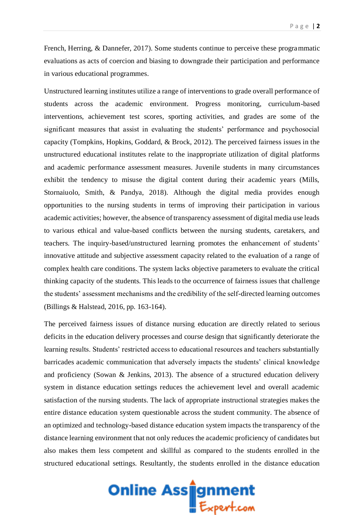French, Herring, & Dannefer, 2017). Some students continue to perceive these programmatic evaluations as acts of coercion and biasing to downgrade their participation and performance in various educational programmes.

Unstructured learning institutes utilize a range of interventions to grade overall performance of students across the academic environment. Progress monitoring, curriculum-based interventions, achievement test scores, sporting activities, and grades are some of the significant measures that assist in evaluating the students' performance and psychosocial capacity (Tompkins, Hopkins, Goddard, & Brock, 2012). The perceived fairness issues in the unstructured educational institutes relate to the inappropriate utilization of digital platforms and academic performance assessment measures. Juvenile students in many circumstances exhibit the tendency to misuse the digital content during their academic years (Mills, Stornaiuolo, Smith, & Pandya, 2018). Although the digital media provides enough opportunities to the nursing students in terms of improving their participation in various academic activities; however, the absence of transparency assessment of digital media use leads to various ethical and value-based conflicts between the nursing students, caretakers, and teachers. The inquiry-based/unstructured learning promotes the enhancement of students' innovative attitude and subjective assessment capacity related to the evaluation of a range of complex health care conditions. The system lacks objective parameters to evaluate the critical thinking capacity of the students. This leads to the occurrence of fairness issues that challenge the students' assessment mechanisms and the credibility of the self-directed learning outcomes (Billings & Halstead, 2016, pp. 163-164).

The perceived fairness issues of distance nursing education are directly related to serious deficits in the education delivery processes and course design that significantly deteriorate the learning results. Students' restricted access to educational resources and teachers substantially barricades academic communication that adversely impacts the students' clinical knowledge and proficiency (Sowan & Jenkins, 2013). The absence of a structured education delivery system in distance education settings reduces the achievement level and overall academic satisfaction of the nursing students. The lack of appropriate instructional strategies makes the entire distance education system questionable across the student community. The absence of an optimized and technology-based distance education system impacts the transparency of the distance learning environment that not only reduces the academic proficiency of candidates but also makes them less competent and skillful as compared to the students enrolled in the structured educational settings. Resultantly, the students enrolled in the distance education

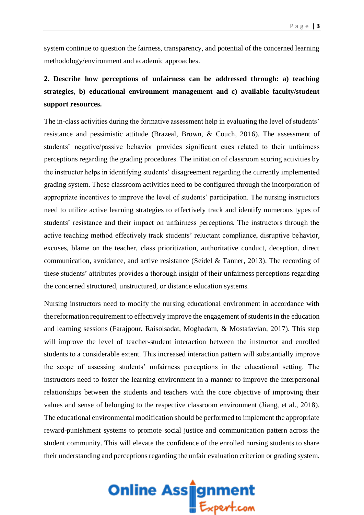system continue to question the fairness, transparency, and potential of the concerned learning methodology/environment and academic approaches.

## **2. Describe how perceptions of unfairness can be addressed through: a) teaching strategies, b) educational environment management and c) available faculty/student support resources.**

The in-class activities during the formative assessment help in evaluating the level of students' resistance and pessimistic attitude (Brazeal, Brown, & Couch, 2016). The assessment of students' negative/passive behavior provides significant cues related to their unfairness perceptions regarding the grading procedures. The initiation of classroom scoring activities by the instructor helps in identifying students' disagreement regarding the currently implemented grading system. These classroom activities need to be configured through the incorporation of appropriate incentives to improve the level of students' participation. The nursing instructors need to utilize active learning strategies to effectively track and identify numerous types of students' resistance and their impact on unfairness perceptions. The instructors through the active teaching method effectively track students' reluctant compliance, disruptive behavior, excuses, blame on the teacher, class prioritization, authoritative conduct, deception, direct communication, avoidance, and active resistance (Seidel & Tanner, 2013). The recording of these students' attributes provides a thorough insight of their unfairness perceptions regarding the concerned structured, unstructured, or distance education systems.

Nursing instructors need to modify the nursing educational environment in accordance with the reformation requirement to effectively improve the engagement of students in the education and learning sessions (Farajpour, Raisolsadat, Moghadam, & Mostafavian, 2017). This step will improve the level of teacher-student interaction between the instructor and enrolled students to a considerable extent. This increased interaction pattern will substantially improve the scope of assessing students' unfairness perceptions in the educational setting. The instructors need to foster the learning environment in a manner to improve the interpersonal relationships between the students and teachers with the core objective of improving their values and sense of belonging to the respective classroom environment (Jiang, et al., 2018). The educational environmental modification should be performed to implement the appropriate reward-punishment systems to promote social justice and communication pattern across the student community. This will elevate the confidence of the enrolled nursing students to share their understanding and perceptions regarding the unfair evaluation criterion or grading system.

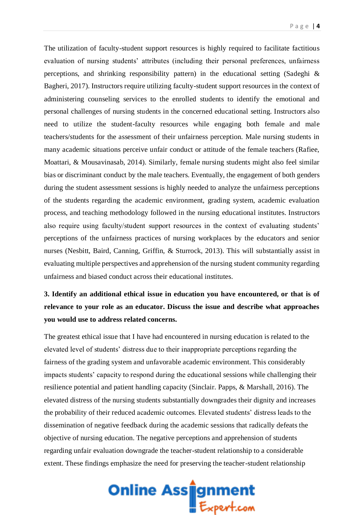The utilization of faculty-student support resources is highly required to facilitate factitious evaluation of nursing students' attributes (including their personal preferences, unfairness perceptions, and shrinking responsibility pattern) in the educational setting (Sadeghi & Bagheri, 2017). Instructors require utilizing faculty-student support resources in the context of administering counseling services to the enrolled students to identify the emotional and personal challenges of nursing students in the concerned educational setting. Instructors also need to utilize the student-faculty resources while engaging both female and male teachers/students for the assessment of their unfairness perception. Male nursing students in many academic situations perceive unfair conduct or attitude of the female teachers (Rafiee, Moattari, & Mousavinasab, 2014). Similarly, female nursing students might also feel similar bias or discriminant conduct by the male teachers. Eventually, the engagement of both genders during the student assessment sessions is highly needed to analyze the unfairness perceptions of the students regarding the academic environment, grading system, academic evaluation process, and teaching methodology followed in the nursing educational institutes. Instructors also require using faculty/student support resources in the context of evaluating students' perceptions of the unfairness practices of nursing workplaces by the educators and senior nurses (Nesbitt, Baird, Canning, Griffin, & Sturrock, 2013). This will substantially assist in evaluating multiple perspectives and apprehension of the nursing student community regarding unfairness and biased conduct across their educational institutes.

## **3. Identify an additional ethical issue in education you have encountered, or that is of relevance to your role as an educator. Discuss the issue and describe what approaches you would use to address related concerns.**

The greatest ethical issue that I have had encountered in nursing education is related to the elevated level of students' distress due to their inappropriate perceptions regarding the fairness of the grading system and unfavorable academic environment. This considerably impacts students' capacity to respond during the educational sessions while challenging their resilience potential and patient handling capacity (Sinclair. Papps, & Marshall, 2016). The elevated distress of the nursing students substantially downgrades their dignity and increases the probability of their reduced academic outcomes. Elevated students' distress leads to the dissemination of negative feedback during the academic sessions that radically defeats the objective of nursing education. The negative perceptions and apprehension of students regarding unfair evaluation downgrade the teacher-student relationship to a considerable extent. These findings emphasize the need for preserving the teacher-student relationship